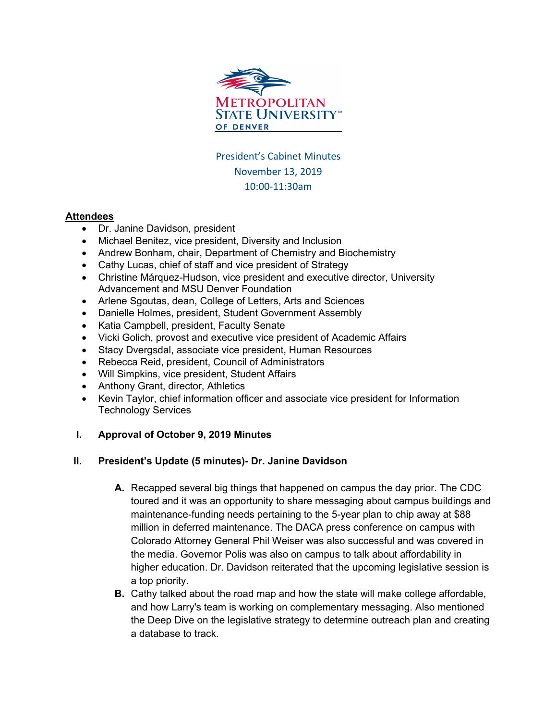

President's Cabinet Minutes November 13, 2019 10:00-11:30am

#### **Attendees**

- Dr. Janine Davidson, president
- Michael Benitez, vice president, Diversity and Inclusion
- Andrew Bonham, chair, Department of Chemistry and Biochemistry
- Cathy Lucas, chief of staff and vice president of Strategy
- Christine Márquez-Hudson, vice president and executive director, University Advancement and MSU Denver Foundation
- Arlene Sgoutas, dean, College of Letters, Arts and Sciences
- Danielle Holmes, president, Student Government Assembly
- Katia Campbell, president, Faculty Senate
- Vicki Golich, provost and executive vice president of Academic Affairs
- Stacy Dvergsdal, associate vice president, Human Resources
- Rebecca Reid, president, Council of Administrators
- Will Simpkins, vice president, Student Affairs
- Anthony Grant, director, Athletics
- Kevin Taylor, chief information officer and associate vice president for Information Technology Services

## **I. Approval of October 9, 2019 Minutes**

## **II. President's Update (5 minutes)- Dr. Janine Davidson**

- **A.** Recapped several big things that happened on campus the day prior. The CDC toured and it was an opportunity to share messaging about campus buildings and maintenance-funding needs pertaining to the 5-year plan to chip away at \$88 million in deferred maintenance. The DACA press conference on campus with Colorado Attorney General Phil Weiser was also successful and was covered in the media. Governor Polis was also on campus to talk about affordability in higher education. Dr. Davidson reiterated that the upcoming legislative session is a top priority.
- **B.** Cathy talked about the road map and how the state will make college affordable, and how Larry's team is working on complementary messaging. Also mentioned the Deep Dive on the legislative strategy to determine outreach plan and creating a database to track.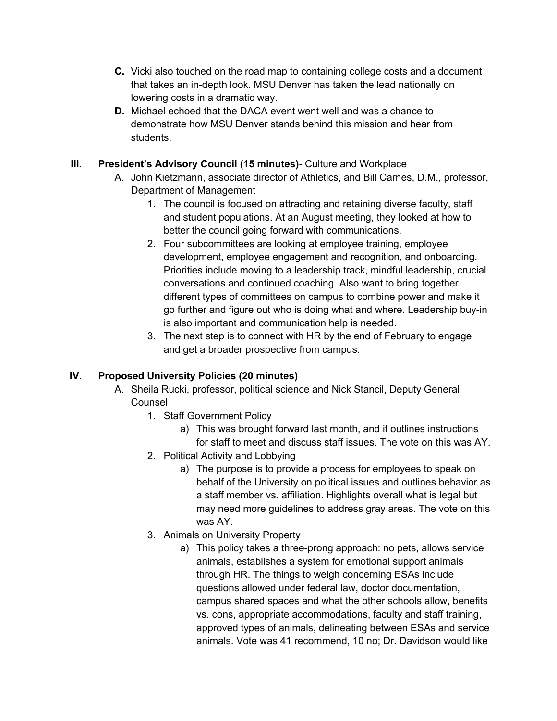- **C.** Vicki also touched on the road map to containing college costs and a document that takes an in-depth look. MSU Denver has taken the lead nationally on lowering costs in a dramatic way.
- **D.** Michael echoed that the DACA event went well and was a chance to demonstrate how MSU Denver stands behind this mission and hear from students.

# **III. President's Advisory Council (15 minutes)-** Culture and Workplace

- A. John Kietzmann, associate director of Athletics, and Bill Carnes, D.M., professor, Department of Management
	- 1. The council is focused on attracting and retaining diverse faculty, staff and student populations. At an August meeting, they looked at how to better the council going forward with communications.
	- 2. Four subcommittees are looking at employee training, employee development, employee engagement and recognition, and onboarding. Priorities include moving to a leadership track, mindful leadership, crucial conversations and continued coaching. Also want to bring together different types of committees on campus to combine power and make it go further and figure out who is doing what and where. Leadership buy-in is also important and communication help is needed.
	- 3. The next step is to connect with HR by the end of February to engage and get a broader prospective from campus.

## **IV. Proposed University Policies (20 minutes)**

- A. Sheila Rucki, professor, political science and Nick Stancil, Deputy General Counsel
	- 1. Staff Government Policy
		- a) This was brought forward last month, and it outlines instructions for staff to meet and discuss staff issues. The vote on this was AY.
	- 2. Political Activity and Lobbying
		- a) The purpose is to provide a process for employees to speak on behalf of the University on political issues and outlines behavior as a staff member vs. affiliation. Highlights overall what is legal but may need more guidelines to address gray areas. The vote on this was AY.
	- 3. Animals on University Property
		- a) This policy takes a three-prong approach: no pets, allows service animals, establishes a system for emotional support animals through HR. The things to weigh concerning ESAs include questions allowed under federal law, doctor documentation, campus shared spaces and what the other schools allow, benefits vs. cons, appropriate accommodations, faculty and staff training, approved types of animals, delineating between ESAs and service animals. Vote was 41 recommend, 10 no; Dr. Davidson would like